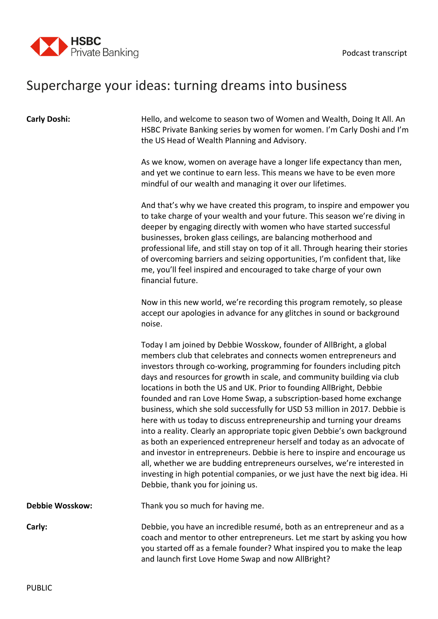

## Supercharge your ideas: turning dreams into business

| <b>Carly Doshi:</b>    | Hello, and welcome to season two of Women and Wealth, Doing It All. An<br>HSBC Private Banking series by women for women. I'm Carly Doshi and I'm<br>the US Head of Wealth Planning and Advisory.                                                                                                                                                                                                                                                                                                                                                                                                                                                                                                                                                                                                                                                                                                                                                                                                                                           |
|------------------------|---------------------------------------------------------------------------------------------------------------------------------------------------------------------------------------------------------------------------------------------------------------------------------------------------------------------------------------------------------------------------------------------------------------------------------------------------------------------------------------------------------------------------------------------------------------------------------------------------------------------------------------------------------------------------------------------------------------------------------------------------------------------------------------------------------------------------------------------------------------------------------------------------------------------------------------------------------------------------------------------------------------------------------------------|
|                        | As we know, women on average have a longer life expectancy than men,<br>and yet we continue to earn less. This means we have to be even more<br>mindful of our wealth and managing it over our lifetimes.                                                                                                                                                                                                                                                                                                                                                                                                                                                                                                                                                                                                                                                                                                                                                                                                                                   |
|                        | And that's why we have created this program, to inspire and empower you<br>to take charge of your wealth and your future. This season we're diving in<br>deeper by engaging directly with women who have started successful<br>businesses, broken glass ceilings, are balancing motherhood and<br>professional life, and still stay on top of it all. Through hearing their stories<br>of overcoming barriers and seizing opportunities, I'm confident that, like<br>me, you'll feel inspired and encouraged to take charge of your own<br>financial future.                                                                                                                                                                                                                                                                                                                                                                                                                                                                                |
|                        | Now in this new world, we're recording this program remotely, so please<br>accept our apologies in advance for any glitches in sound or background<br>noise.                                                                                                                                                                                                                                                                                                                                                                                                                                                                                                                                                                                                                                                                                                                                                                                                                                                                                |
|                        | Today I am joined by Debbie Wosskow, founder of AllBright, a global<br>members club that celebrates and connects women entrepreneurs and<br>investors through co-working, programming for founders including pitch<br>days and resources for growth in scale, and community building via club<br>locations in both the US and UK. Prior to founding AllBright, Debbie<br>founded and ran Love Home Swap, a subscription-based home exchange<br>business, which she sold successfully for USD 53 million in 2017. Debbie is<br>here with us today to discuss entrepreneurship and turning your dreams<br>into a reality. Clearly an appropriate topic given Debbie's own background<br>as both an experienced entrepreneur herself and today as an advocate of<br>and investor in entrepreneurs. Debbie is here to inspire and encourage us<br>all, whether we are budding entrepreneurs ourselves, we're interested in<br>investing in high potential companies, or we just have the next big idea. Hi<br>Debbie, thank you for joining us. |
| <b>Debbie Wosskow:</b> | Thank you so much for having me.                                                                                                                                                                                                                                                                                                                                                                                                                                                                                                                                                                                                                                                                                                                                                                                                                                                                                                                                                                                                            |
| Carly:                 | Debbie, you have an incredible resumé, both as an entrepreneur and as a<br>coach and mentor to other entrepreneurs. Let me start by asking you how<br>you started off as a female founder? What inspired you to make the leap<br>and launch first Love Home Swap and now AllBright?                                                                                                                                                                                                                                                                                                                                                                                                                                                                                                                                                                                                                                                                                                                                                         |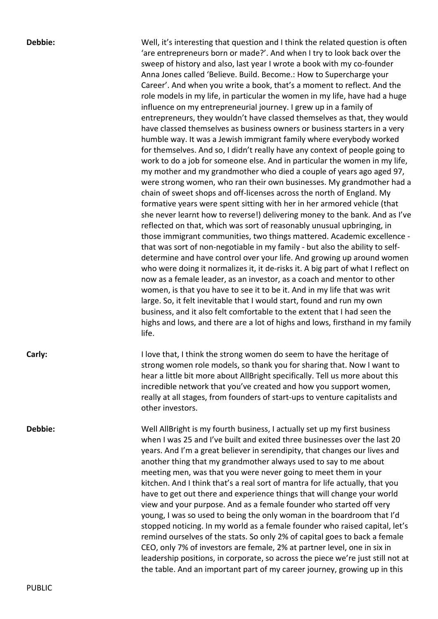**Debbie:** Well, it's interesting that question and I think the related question is often 'are entrepreneurs born or made?'. And when I try to look back over the sweep of history and also, last year I wrote a book with my co-founder Anna Jones called 'Believe. Build. Become.: How to Supercharge your Career'. And when you write a book, that's a moment to reflect. And the role models in my life, in particular the women in my life, have had a huge influence on my entrepreneurial journey. I grew up in a family of entrepreneurs, they wouldn't have classed themselves as that, they would have classed themselves as business owners or business starters in a very humble way. It was a Jewish immigrant family where everybody worked for themselves. And so, I didn't really have any context of people going to work to do a job for someone else. And in particular the women in my life, my mother and my grandmother who died a couple of years ago aged 97, were strong women, who ran their own businesses. My grandmother had a chain of sweet shops and off-licenses across the north of England. My formative years were spent sitting with her in her armored vehicle (that she never learnt how to reverse!) delivering money to the bank. And as I've reflected on that, which was sort of reasonably unusual upbringing, in those immigrant communities, two things mattered. Academic excellence that was sort of non-negotiable in my family - but also the ability to selfdetermine and have control over your life. And growing up around women who were doing it normalizes it, it de-risks it. A big part of what I reflect on now as a female leader, as an investor, as a coach and mentor to other women, is that you have to see it to be it. And in my life that was writ large. So, it felt inevitable that I would start, found and run my own business, and it also felt comfortable to the extent that I had seen the highs and lows, and there are a lot of highs and lows, firsthand in my family life.

**Carly:** Carly: I love that, I think the strong women do seem to have the heritage of strong women role models, so thank you for sharing that. Now I want to hear a little bit more about AllBright specifically. Tell us more about this incredible network that you've created and how you support women, really at all stages, from founders of start-ups to venture capitalists and other investors.

**Debbie:** Well AllBright is my fourth business, I actually set up my first business when I was 25 and I've built and exited three businesses over the last 20 years. And I'm a great believer in serendipity, that changes our lives and another thing that my grandmother always used to say to me about meeting men, was that you were never going to meet them in your kitchen. And I think that's a real sort of mantra for life actually, that you have to get out there and experience things that will change your world view and your purpose. And as a female founder who started off very young, I was so used to being the only woman in the boardroom that I'd stopped noticing. In my world as a female founder who raised capital, let's remind ourselves of the stats. So only 2% of capital goes to back a female CEO, only 7% of investors are female, 2% at partner level, one in six in leadership positions, in corporate, so across the piece we're just still not at the table. And an important part of my career journey, growing up in this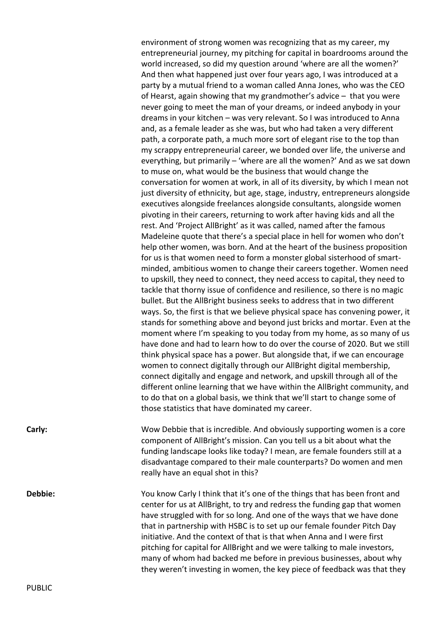environment of strong women was recognizing that as my career, my entrepreneurial journey, my pitching for capital in boardrooms around the world increased, so did my question around 'where are all the women?' And then what happened just over four years ago, I was introduced at a party by a mutual friend to a woman called Anna Jones, who was the CEO of Hearst, again showing that my grandmother's advice – that you were never going to meet the man of your dreams, or indeed anybody in your dreams in your kitchen – was very relevant. So I was introduced to Anna and, as a female leader as she was, but who had taken a very different path, a corporate path, a much more sort of elegant rise to the top than my scrappy entrepreneurial career, we bonded over life, the universe and everything, but primarily – 'where are all the women?' And as we sat down to muse on, what would be the business that would change the conversation for women at work, in all of its diversity, by which I mean not just diversity of ethnicity, but age, stage, industry, entrepreneurs alongside executives alongside freelances alongside consultants, alongside women pivoting in their careers, returning to work after having kids and all the rest. And 'Project AllBright' as it was called, named after the famous Madeleine quote that there's a special place in hell for women who don't help other women, was born. And at the heart of the business proposition for us is that women need to form a monster global sisterhood of smartminded, ambitious women to change their careers together. Women need to upskill, they need to connect, they need access to capital, they need to tackle that thorny issue of confidence and resilience, so there is no magic bullet. But the AllBright business seeks to address that in two different ways. So, the first is that we believe physical space has convening power, it stands for something above and beyond just bricks and mortar. Even at the moment where I'm speaking to you today from my home, as so many of us have done and had to learn how to do over the course of 2020. But we still think physical space has a power. But alongside that, if we can encourage women to connect digitally through our AllBright digital membership, connect digitally and engage and network, and upskill through all of the different online learning that we have within the AllBright community, and to do that on a global basis, we think that we'll start to change some of those statistics that have dominated my career.

**Carly:** Carly: Wow Debbie that is incredible. And obviously supporting women is a core component of AllBright's mission. Can you tell us a bit about what the funding landscape looks like today? I mean, are female founders still at a disadvantage compared to their male counterparts? Do women and men really have an equal shot in this?

**Debbie:** You know Carly I think that it's one of the things that has been front and center for us at AllBright, to try and redress the funding gap that women have struggled with for so long. And one of the ways that we have done that in partnership with HSBC is to set up our female founder Pitch Day initiative. And the context of that is that when Anna and I were first pitching for capital for AllBright and we were talking to male investors, many of whom had backed me before in previous businesses, about why they weren't investing in women, the key piece of feedback was that they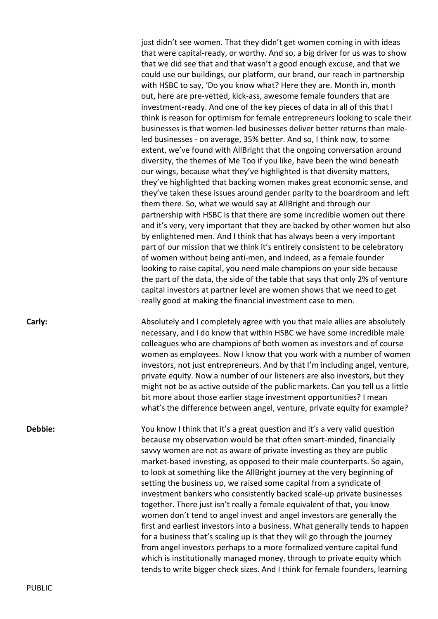just didn't see women. That they didn't get women coming in with ideas that were capital-ready, or worthy. And so, a big driver for us was to show that we did see that and that wasn't a good enough excuse, and that we could use our buildings, our platform, our brand, our reach in partnership with HSBC to say, 'Do you know what? Here they are. Month in, month out, here are pre-vetted, kick-ass, awesome female founders that are investment-ready. And one of the key pieces of data in all of this that I think is reason for optimism for female entrepreneurs looking to scale their businesses is that women-led businesses deliver better returns than maleled businesses - on average, 35% better. And so, I think now, to some extent, we've found with AllBright that the ongoing conversation around diversity, the themes of Me Too if you like, have been the wind beneath our wings, because what they've highlighted is that diversity matters, they've highlighted that backing women makes great economic sense, and they've taken these issues around gender parity to the boardroom and left them there. So, what we would say at AllBright and through our partnership with HSBC is that there are some incredible women out there and it's very, very important that they are backed by other women but also by enlightened men. And I think that has always been a very important part of our mission that we think it's entirely consistent to be celebratory of women without being anti-men, and indeed, as a female founder looking to raise capital, you need male champions on your side because the part of the data, the side of the table that says that only 2% of venture capital investors at partner level are women shows that we need to get really good at making the financial investment case to men.

**Carly:** Carly: **Absolutely and I completely agree with you that male allies are absolutely and I completely agree with you that male allies are absolutely** necessary, and I do know that within HSBC we have some incredible male colleagues who are champions of both women as investors and of course women as employees. Now I know that you work with a number of women investors, not just entrepreneurs. And by that I'm including angel, venture, private equity. Now a number of our listeners are also investors, but they might not be as active outside of the public markets. Can you tell us a little bit more about those earlier stage investment opportunities? I mean what's the difference between angel, venture, private equity for example?

**Debbie:** You know I think that it's a great question and it's a very valid question because my observation would be that often smart-minded, financially savvy women are not as aware of private investing as they are public market-based investing, as opposed to their male counterparts. So again, to look at something like the AllBright journey at the very beginning of setting the business up, we raised some capital from a syndicate of investment bankers who consistently backed scale-up private businesses together. There just isn't really a female equivalent of that, you know women don't tend to angel invest and angel investors are generally the first and earliest investors into a business. What generally tends to happen for a business that's scaling up is that they will go through the journey from angel investors perhaps to a more formalized venture capital fund which is institutionally managed money, through to private equity which tends to write bigger check sizes. And I think for female founders, learning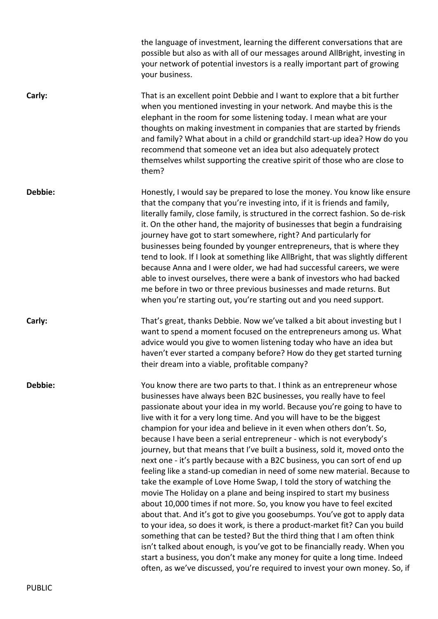|         | the language of investment, learning the different conversations that are<br>possible but also as with all of our messages around AllBright, investing in<br>your network of potential investors is a really important part of growing<br>your business.                                                                                                                                                                                                                                                                                                                                                                                                                                                                                                                                                                                                                                                                                                                                                                                                                                                                                                                                                                                                                                                                                                                                              |
|---------|-------------------------------------------------------------------------------------------------------------------------------------------------------------------------------------------------------------------------------------------------------------------------------------------------------------------------------------------------------------------------------------------------------------------------------------------------------------------------------------------------------------------------------------------------------------------------------------------------------------------------------------------------------------------------------------------------------------------------------------------------------------------------------------------------------------------------------------------------------------------------------------------------------------------------------------------------------------------------------------------------------------------------------------------------------------------------------------------------------------------------------------------------------------------------------------------------------------------------------------------------------------------------------------------------------------------------------------------------------------------------------------------------------|
| Carly:  | That is an excellent point Debbie and I want to explore that a bit further<br>when you mentioned investing in your network. And maybe this is the<br>elephant in the room for some listening today. I mean what are your<br>thoughts on making investment in companies that are started by friends<br>and family? What about in a child or grandchild start-up idea? How do you<br>recommend that someone vet an idea but also adequately protect<br>themselves whilst supporting the creative spirit of those who are close to<br>them?                                                                                                                                                                                                                                                                                                                                                                                                                                                                                                                                                                                                                                                                                                                                                                                                                                                              |
| Debbie: | Honestly, I would say be prepared to lose the money. You know like ensure<br>that the company that you're investing into, if it is friends and family,<br>literally family, close family, is structured in the correct fashion. So de-risk<br>it. On the other hand, the majority of businesses that begin a fundraising<br>journey have got to start somewhere, right? And particularly for<br>businesses being founded by younger entrepreneurs, that is where they<br>tend to look. If I look at something like AllBright, that was slightly different<br>because Anna and I were older, we had had successful careers, we were<br>able to invest ourselves, there were a bank of investors who had backed<br>me before in two or three previous businesses and made returns. But<br>when you're starting out, you're starting out and you need support.                                                                                                                                                                                                                                                                                                                                                                                                                                                                                                                                           |
| Carly:  | That's great, thanks Debbie. Now we've talked a bit about investing but I<br>want to spend a moment focused on the entrepreneurs among us. What<br>advice would you give to women listening today who have an idea but<br>haven't ever started a company before? How do they get started turning<br>their dream into a viable, profitable company?                                                                                                                                                                                                                                                                                                                                                                                                                                                                                                                                                                                                                                                                                                                                                                                                                                                                                                                                                                                                                                                    |
| Debbie: | You know there are two parts to that. I think as an entrepreneur whose<br>businesses have always been B2C businesses, you really have to feel<br>passionate about your idea in my world. Because you're going to have to<br>live with it for a very long time. And you will have to be the biggest<br>champion for your idea and believe in it even when others don't. So,<br>because I have been a serial entrepreneur - which is not everybody's<br>journey, but that means that I've built a business, sold it, moved onto the<br>next one - it's partly because with a B2C business, you can sort of end up<br>feeling like a stand-up comedian in need of some new material. Because to<br>take the example of Love Home Swap, I told the story of watching the<br>movie The Holiday on a plane and being inspired to start my business<br>about 10,000 times if not more. So, you know you have to feel excited<br>about that. And it's got to give you goosebumps. You've got to apply data<br>to your idea, so does it work, is there a product-market fit? Can you build<br>something that can be tested? But the third thing that I am often think<br>isn't talked about enough, is you've got to be financially ready. When you<br>start a business, you don't make any money for quite a long time. Indeed<br>often, as we've discussed, you're required to invest your own money. So, if |